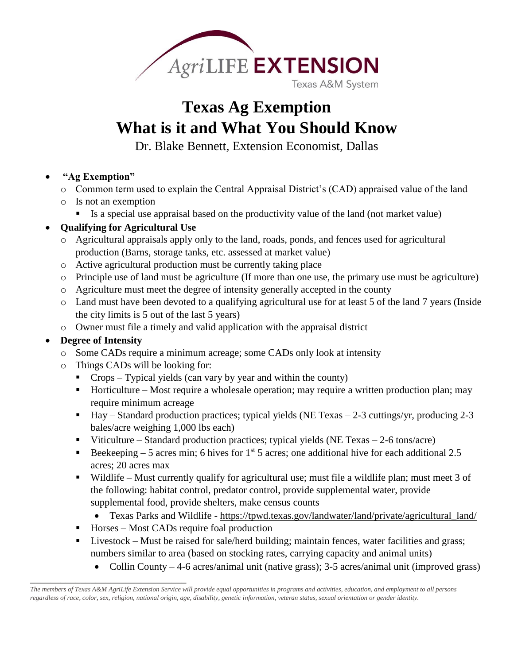

# **Texas Ag Exemption What is it and What You Should Know**

Dr. Blake Bennett, Extension Economist, Dallas

## **"Ag Exemption"**

- o Common term used to explain the Central Appraisal District's (CAD) appraised value of the land
- o Is not an exemption
	- Is a special use appraisal based on the productivity value of the land (not market value)

# **Qualifying for Agricultural Use**

- o Agricultural appraisals apply only to the land, roads, ponds, and fences used for agricultural production (Barns, storage tanks, etc. assessed at market value)
- o Active agricultural production must be currently taking place
- o Principle use of land must be agriculture (If more than one use, the primary use must be agriculture)
- o Agriculture must meet the degree of intensity generally accepted in the county
- o Land must have been devoted to a qualifying agricultural use for at least 5 of the land 7 years (Inside the city limits is 5 out of the last 5 years)
- o Owner must file a timely and valid application with the appraisal district

# **Degree of Intensity**

\_\_\_\_\_\_\_\_\_\_\_\_\_\_\_\_\_\_\_\_\_\_\_\_\_\_\_\_\_\_\_

- o Some CADs require a minimum acreage; some CADs only look at intensity
- o Things CADs will be looking for:
	- Crops Typical yields (can vary by year and within the county)
	- Horticulture Most require a wholesale operation; may require a written production plan; may require minimum acreage
	- $\blacksquare$  Hay Standard production practices; typical yields (NE Texas 2-3 cuttings/yr, producing 2-3 bales/acre weighing 1,000 lbs each)
	- Viticulture Standard production practices; typical yields (NE Texas 2-6 tons/acre)
	- Beekeeping 5 acres min; 6 hives for 1<sup>st</sup> 5 acres; one additional hive for each additional 2.5 acres; 20 acres max
	- Wildlife Must currently qualify for agricultural use; must file a wildlife plan; must meet 3 of the following: habitat control, predator control, provide supplemental water, provide supplemental food, provide shelters, make census counts
		- Texas Parks and Wildlife https://tpwd.texas.gov/landwater/land/private/agricultural\_land/
	- $\blacksquare$  Horses Most CADs require foal production
	- Livestock Must be raised for sale/herd building; maintain fences, water facilities and grass; numbers similar to area (based on stocking rates, carrying capacity and animal units)
		- Collin County 4-6 acres/animal unit (native grass); 3-5 acres/animal unit (improved grass)

*The members of Texas A&M AgriLife Extension Service will provide equal opportunities in programs and activities, education, and employment to all persons regardless of race, color, sex, religion, national origin, age, disability, genetic information, veteran status, sexual orientation or gender identity.*